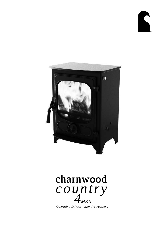



# charnwood COUNTY

Operating & Installation Instructions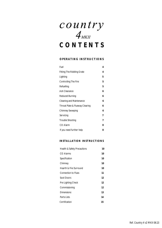# $\frac{country}{4}$ **C O N T E N T S**

## **OPERATING INSTRUCTIONS**

| Fuel                              | 4 |
|-----------------------------------|---|
| <b>Fitting The Riddling Grate</b> | 4 |
| Lighting                          | 5 |
| Controlling The Fire              | 5 |
| Refuelling                        | 5 |
| Ash Clearance                     | 6 |
| Reduced Burning                   | 6 |
| Cleaning and Maintenance          | 6 |
| Throat Plate & Flueway Clearing   | 6 |
| Chimney Sweeping                  | 6 |
| Servicing                         | 7 |
| Trouble Shooting                  | 7 |
| CO Alarm                          | 8 |
| If you need further help          | 8 |

## **INSTALLATION INSTRUCTIONS**

| Health & Safety Precautions | 10 |
|-----------------------------|----|
| CO Alarms                   | 10 |
| Specification               | 10 |
| Chimney                     | 10 |
| Hearth & Fire Surround      | 10 |
| Connection to Flues         | 11 |
| Soot Doors                  | 12 |
| Pre Lighting Check          | 12 |
| Commissioning               | 12 |
| Dimensions                  | 13 |
| Parts Lists                 | 14 |
| Certification               | 15 |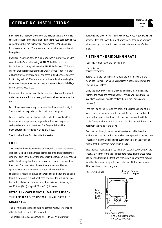Before lighting the stove check with the installer that the work and checks described in the Installation Instructions have been carried out correctly and that the chimney has been swept, is sound and free from any obstructions. The stove is not suitable for use in a shared flue system.

If you are using your stove to burn wood logs in a smoke controlled area, then the Smoke Reducing Kit **MUST** be fitted and the instructions on lighting and refuelling **MUST** be followed. This stove will not produce significant smoke if well seasoned logs of less than 20% moisture content are burnt and these instructions are adhered to. Burning wet (> 20% moisture content) wood and operating the stove in an irresponsible manner may produce smoke which is illegal in smoke controlled areas.

Remember that the stove will be hot and that it is made from hard materials – ensur e that you have good balance before operating the fire.

Do not use an aerosol spray on or near the stove when it is alight. There is a risk of explosion or flash ignition of the spray.

When using the stove in situations where children, aged and/or infirm persons are present a fireguard must be used to prevent accidental contact with the stove. The fireguard should be manufactured in accordance with BS 8423:2002.

The stove is suitable for intermittent operation.

## **FUEL**

This stove has been designated to burn wood. Only dry well seasoned wood should be burnt on this appliance as burning wet unseasoned wood will give rise to heavy tar deposits in the stove, on the glass and within the chimney. For the same reason hard woods (such as Ash, Beech and Oak) are better than soft woods (such as Pine and Spruce). Burning wet unseasoned wood will also result in considerably reduced outputs. The wood should be cut and split and then left to season in a well ventilated dry place for at least one year but preferably two years before use. Approximate suitable log sizes are 255mm (10in) long and 75mm (3in) diameter.

# **PETROLEUM COKE IS NOT SUITABLE FOR USE ON THIS APPLIANCE. ITS USE WILL INVALIDATE THE GUARANTEE.**

This stove is not designed to burn household waste. For advice on other fuels please contact Charnwood.

This appliance has been approved by HETAS as an intermittent

operating appliance for burning dry seasoned wood logs only. HETAS approval does not cover the use of other fuels either alone or mixed with wood logs nor does it cover the instructions for use of other fuels.

## **FITTING THE RIDDLING GRATE**

Tool required for fitting the riddling grate:

10mm Spanner Pozidriv screwdriver

Before fitting the riddling grate remove the fuel retainer and the wood ash retainer. The wood ash retainer is not required when the riddling grate is fitted.

Undo the nut on the riddling blanking hole using a 10mm spanner. Remove the cover and spacing washer (ensure you keep these in a safe place as you will need to replace them if the riddling grate is removed).

Feed the riddler rod through the hole on the right hand side of the stove, and slide one washer onto the rod. (If there is not sufficient room to the right of the stove to do this then remove the riddler knob, fit one washer over the rod and then slide the rod through the hole from the inside of the stove.)

Feed the rod through the two side fireplates and slide the other washer on to the rod so that the washers end up outside the two side fireplates. With the side fireplates pushed together fit the retaining clips so that the washers come inside the clips.

Slide the side fireplates apart so that they rest against the sides of the firebox. Slot in the front and rear support plates. Fit the grate plates into position through the front and rear grate support plates, making sure they locate correctly onto the riddler rod. Fit the fuel retainer. Slide the ashpan under the grate.



**4**

Anti-Clockwise to Open Clockwise to Close

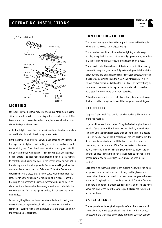

®

#### *Fig.2. Optional Grate Kit*



# **LIGHTING**

On initial lighting, the stove may smoke and give off an odour as the silicon paint with which the firebox is painted reacts to the heat. This is normal and will cease after a short time, but meanwhile the room should be kept well ventilated.

At first only light a small fire and burn it slowly for two hours to allow any residual moisture in the chimney to evaporate.

Light the stove using dry kindling wood and paper or fire lighters. Put the paper, or fire lighters, and kindling in the firebox and cover with a few small dry logs. Open the air controls – the primar y air control in the door and the airwash control - fully (see Fig. 1). Light the paper or fire lighters. The door may be left cracked open for a few minutes to assist the combustion and heat up the firebox more quickly. When the kindling wood is well alight add a few more small logs, close the doors but leave the air controls fully open. When the flames are established around these logs, load the stove with the required fuel load. Maintain the air controls at maximum at this stage. Once the fire is up to temperature the airwash system will begin to work, so allow the fire to become hot before adjusting the air controls to the required setting. During the lighting period, do not leave the stove unattended.

When relighting the stove, leave the ash on the base if burning wood, unless it is becoming too deep, in which case some of it may be removed. If burning high ash content fuel, clear the grate and empty the ashpan before relighting.

## **CONTROLLING THE FIRE**

The rate of burning and hence the output is controlled by the spin wheel and the airwash control (see Fig. 1).

The spin wheel should only be used when lighting or when rapid burning is required. It should not be left fully open for long periods as this can cause over-firing. For low burning it should be closed.

The airwash control is used most of the time to control the burning rate and to keep the glass clean. Fully extended gives full airwash for faster burning and clean glass whereas fully closed gives low burning. It will not be possible to keep the glass clean if this control is fully closed, particularly immediately after refuelling. For correct firing we recommend the use of a stove pipe thermometer which may be purchased from your supplier or from ourselves.

When the stove is hot, these controls must only be operated using the tool provided or a glove to avoid the danger of burned fingers.

## **REFUELLING**

Keep the firebox well filled but do not allow fuel to spill over the top of the fuel retainer.

Logs should be evenly distributed, filling the firebed to give the most pleasing flame pattern. The air controls must be fully opened after refuelling until the flames are established above the fire. It is best to refuel on to a hot bed of ash. If at this point the fire starts to die, the doors must be cracked open until the fire is revived in order that smoke may not be produced. If the fire has started to die down before refuelling, then more kindling wood must be added, the air controls opened fully and the door cracked open to re-establish the firebed *before* adding larger logs (see suitable log sizes in Fuel section).

Care should be taken, especially when burning wood, that fuel does not project over the fuel retainer or damage to the glass may be caused when the door is closed. It can also cause the glass to blacken. Maximum filling height is such that logs cannot fall from the fire when the doors are opened. In smoke controlled areas do not fill the stove above the level of the front firebars. Liquid fuels are not to be used on this appliance.

# **ASH CLEARANCE**

The ashpan should be emptied regularly before it becomes too full. Never allow the ash to accumulate in the ashpan so that it comes in contact with the underside of the grate as this will seriously damage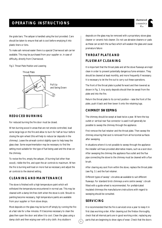the grate bars. The ashpan is handled using the tool provided. Care should be taken to ensure that ash is cool before emptying it into plastic liners or bins.

To make ash removal easier there is a special Charnwood ash carrier available. This may be purchased from your supplier or, in case of difficulty, directly from Charnwood.

#### *Fig.3. Throat Plate Position and Lowering*



## **REDUCED BURNING**

For reduced burning the fire door must be closed.

When burning wood in areas that are not smoke controlled, load some large logs on the fire and allow to burn for half an hour before closing the spin wheel (this will help to reduce tar deposits in the chimney). Leave the airwash control slightly open to help keep the glass clear. Some experimentation may be necessary to find the setting most suitable for the type of fuel being used and the draw on the chimney.

To revive the fire, empty the ashpan, (if burning fuel other than wood), riddle the fire, and open the air controls to maximum. When the fire is burning well load on more fuel as necessary and adjust the air controls to the desired setting.

# **CLEANING AND MAINTENANCE**

The stove is finished with a high temperature paint which will withstand the temperatures encountered in normal use. This may be cleaned with a damp lint-free cloth when the stove is cold. Should repainting become necessary, high temperature paints are available from your supplier or from stove shops.

Most deposits on the glass may be burnt off simply by running the fire at a fast rate for a few minutes. If it becomes necessary to clean the glass then open the door and allow it to cool. Clean the glass using a damp cloth and then wiping over with a dry cloth. Any stubborn

deposits on the glass may be removed with a proprietary stove glass cleaner or ceramic hob cleaner. Do not use abrasive cleaners or pads as these can scratch the surface which will weaken the glass and cause premature failure

# **THROAT PLATE AND FLUEWAY CLEANING**

It is important that the throat plate and all the stove flueways are kept clean in order to prevent potentially dangerous fume emission. They should be cleaned at least monthly, and more frequently if necessary. It is necessary to let the fire out to carry out these operations.

The front of the throat plate is pulled forward and then lowered as shown in Fig. 3. Any sooty deposits should then be swept from the plate and into the fire.

Return the throat plate to its correct position - raise the front of the plate, push it back and then lower it onto the retaining lugs.

## **CHIMNEY SWEEPING**

The chimney should be swept at least twice a year. Where the top outlet or vertical rear flue connector is used it will generally be possible to sweep the chimney through the appliance.

First remove the fuel retainer and the throat plate. Then sweep the chimney ensuring that soot is removed from all horizontal surfaces after sweeping.

In situations where it is not possible to sweep through the appliance the installer will have provided alternative means, such as a soot door. After sweeping the chimney the appliance flue outlet and the flue pipe connecting the stove to the chimney must be cleaned with a flue brush.

After clearing any soot from within the stove, replace the throat plate (see Fig. 3.) and the fuel retainer.

Different types of sweep's brushes ae available to suit different flueways. For standard brick chimneys a wire centre sweep's brush fitted with a guide wheel is recommended. For prefabricated insulated chimneys the manufacturers instructions with regard to sweeping should be consulted.

# **SERVICING**

It is recommended that the fire is serviced once a year to keep it in first class working order. After cleaning out the firebox thoroughly, check that all internal parts are in good working order, replacing any parts that are beginning to show signs of wear. Check that the doors **<sup>6</sup>**



®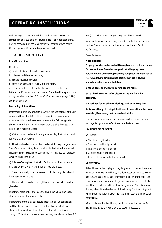seals are in good condition and that the door seals correctly. A servicing guide is available on request. Repairs or modifications may only be carried out by the Manufacturer or their approved agents. Use only genuine Charnwood replacement parts.

# **TROUBLE SHOOTING**

#### **Fire Will Not Burn**

#### Check that:

- a) the air inlet is not obstructed in any way,
- b) chimneys and flueways are clear,
- c) a suitable fuel is being used,
- d) there is an adequate air supply into the room,

e) an extractor fan is not fitted in the same room as the stove.

f) there is sufficient draw in the chimney. Once the chimney is warm a draught reading of at least 2.5 mm (0.10 inches) water gauge (25Pa) should be obtained.

#### **Blackening of Door Glass**

Differences in chimney draughts mean that the best settings of the air controls will vary for different installations. A certain amount of experimentation may be required. However the following points should be noted, and with a little care should enable the glass to be kept clean in most situations:

a) Wet or unseasoned wood, or logs overhanging the front fence will cause the glass to blacken.

b) The airwash relies on a supply of heated air to keep the glass clean. Therefore, when lighting the stove allow the firebed to become well established before closing the spin wheel. This may also be necessary when re-fuelling the stove.

c) When re-fuelling keep the fuel as far back from the front fence as possible, do not try to fit too much fuel into the firebox.

d) Never completely close the airwash control - as a guide it should be at least a quarter open.

e) The spin wheel may be kept slightly open to assist in keeping the glass clean.

It is always more difficult to keep the glass clean when running the stove very slowly for long periods.

If blackening of the glass still occurs check that all flue connections and the blanking plate are well sealed. It is also important that the chimney draw is sufficient and that it is not affected by downdraught.. When the chimney is warm a draught reading of at least 2.5 mm (0.10 inches) water gauge (25Pa) should be obtained.

Some blackening of the glass may occur below the level of the coal retainer. This will not obscure the view of the fire or affect its performance.

®

charnwood $countrv$ 

**Fume Emission**

**Warning Note:**

**Properly installed and operated this appliance will not emit fumes. Occasional fumes from de-ashing and re-fuelling may occur. Persistent fume emission is potentially dangerous and must not be tolerated. If fume emission does persist, then the following immediate actions should be taken:**

**a) Open doors and windows to ventilate the room.** 

**b) Let the fire out and safely dispose of the fuel from the appliance.**

**c) Check for flue or chimney blockage, and clean if required.** 

**d) Do not attempt to re-light the fire until cause of fume has been identified, if necessary seek professional advice.**

The most common cause of fume emission is flueway or chimney blockage. For your own safety these must be kept clean.

**Fire blazing out of control**

Check that:

- a) The door is tightly closed.
- b) The spin wheel is fully closed.
- c) The airwash control is closed.
- d) A suitable fuel is being used.
- e) Door seals and airwash slide are intact.

#### **Chimney Fires**

If the chimney is thoroughly and regularly swept, chimney fires should not occur. However, if a chimney fire does occur close the spin wheel and the airwash control, and tightly close the door of the appliance. This should cause chimney fire to go out in which case the controls should be kept closed until the stove has gone out. The chimney and flueways should then be cleaned. If the chimney fire does not go out when the above action is taken then the fire brigade should be called immediately.

After a chimney fire the chimney should be carefully examined for any damage. Expert advice should be sought if necessary.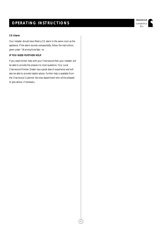#### **CO Alarm**

Your installer should have fitted a CO alarm in the same room as the appliance. If the alarm sounds unexpectedly, follow the instructions given under " Warning Note" abo ve.

#### **IF YOU NEED FURTHER HELP**

If you need further help with your Charnwood then your Installer will be able to provide the answers to most questions. Your Local Charnwood Premier Dealer has a great deal of experience and will also be able to provide helpful advice. Further help is available from the Charnwood Customer Services department who will be pleased to give advice, if necessary.



®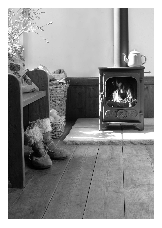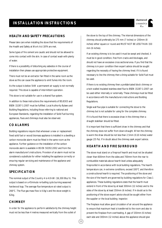# **INSTALLATION INSTRUCTIONS**

### **HEALTH AND SAFETY PRECAUTIONS**

Please take care when installing the stove that the requirements of the Health and Safety at Work Act 1974 are met.

Some types of fire cement are caustic and should not be allowed to come into contact with the skin. In case of contact wash with plenty of water.

If there is a possibility of disturbing any asbestos in the course of installation then please use appropriate protective equipment.

There must not be an extractor fan fitted in the same room as the stove as this can cause the appliance to emit fumes into the room.

As the output is below 5kW a permanent air supply is not normally required. This stove is capable of intermittent operation.

This stove is not suitable for use in a shared flue system.

In addition to these instructions the requirements of BS.8303 and BSEN 15287-1:2007 must be fulfilled. Local Authority Bylaws and Building Regulations, including those referring to national and European Standards, regarding the installation of Solid Fuel burning appliances, flues and chimneys must also be observed.

## **CO ALARMS**

Building regulations require that whenever a new or replacement fixed solid fuel or wood/biomass appliance is installed in a dwelling a carbon monoxide alarm must be fitted in the same room as the appliance. Further guidance on the installation of the carbon monoxide alarm is available in BS EN 50292:2002 and from the alarm manufacturer's instructions. Provision of an alarm must not be considered a substitute for either installing the appliance correctly or ensuring regular servicing and maintenance of the appliance and chimney system.

# **SPECIFICATION**

The nominal output of the Country 4 is 4.8 kW (16,300 Btu/h). This output is based on a 45minute re-fuelling cycle burning seasoned hardwood logs. The average flue temperature at rated output is 266°C. The Flue gas mass flow is 4.8g/s and the stove weight is 62kg.

### **CHIMNEY**

In order for the appliance to perform satisfactorily the chimney height must not be less than 4 metres measured vertically from the outlet of

the stove to the top of the chimney. The internal dimensions of the chimney should preferably be 175 mm (7 inches) or 200mm (8 inches) either square or round and MUST NOT BE LESS THAN 150 mm (6 inches).

If an existing chimney is to be used it must be swept and checked, it must be in good condition, free from cracks and blockages, and should not have an excessive cross sectional area. If you find that the chimney is in poor condition then expert advice should be sought regarding the necessity of having the chimney lined. If it is found necessary to line the chimney then a lining suitable for Solid Fuel must be used.

If there is no existing chimney then a prefabricated block chimney or a twin walled insulated stainless steel flue to BSEN 15287-1:2007 can be used either internally or externally. These chimneys must be fitted in accordance with the manufacturers instructions and Building Regulations.

Single wall flue pipe is suitable for connecting the stove to the chimney but is not suitable for using for the complete chimney.

If it is found that there is excessive draw in the chimney then a draught stabiliser should be fitted.

It is important that there is sufficient draw in the chimney and that the chimney does not suffer from down-draught. When the chimney is warm the draw should be not less than 2.5mm (0.10 inches) water gauge (25 Pa). If in doubt about the chimney seek expert advice.

## **HEARTH AND FIRE SURROUND**

The stove must stand on a fireproof hearth and must not be situated closer than 600mm from the sides and 700mm from the rear to combustible materials above hearth level unless adequately fireproofed in accordance with local building regulations. The hearth temperature can, in extreme conditions, exceed 100°C and therefore a constructional hearth is required. The positioning of the stove and the size of the hearth are governed by building regulations for Class 1 appliances. These building regulations state that the hearth must extend in front of the stove by at least 300mm (12 inches) and to the sides of the stove by at least 150mm (6 inches). If in doubt as to the positioning of the stove expert advice should be sought either from the supplier or the local building inspector.

The fireplace must allow good circulation of air around the appliance to ensure that maximum heat is transferred to the room and also to prevent the fireplace from overheating. A gap of 150mm (6 inches) each side and 300mm (12 inches) above the appliance should give

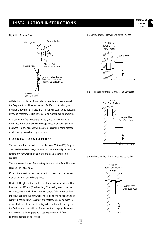# **INSTALLATION INSTRUCTIONS**

#### *Fig. 4. Flue Blanking Plate.*



sufficient air circulation. If a wooden mantelpiece or beam is used in the fireplace it should be a minimum of 460mm (18 inches), and preferably 600mm (24 inches) from the appliance. In some situations it may be necessary to shield the beam or mantelpiece to protect it.

In order for the fire to operate correctly and to allow for access, there must be an air gap behind the appliance of at least 75mm, but be aware that this distance will need to be greater in some cases to meet Building Regulation requirements.

# **CONNECTIONS TO FLUES**

The stove must be connected to the flue using 125mm (5") i/d pipe. This may be stainless steel, cast iron, or thick wall steel pipe. Straight lengths of Charnwood Pipe to match the stove are available if required.

There are several ways of connecting the stove to the flue. These are illustrated in Figs. 5 to 8.

If the optional vertical rear flue connector is used then the chimney may be swept through the appliance.

Horizontal lengths of flue must be kept to a minimum and should not be more than 125mm (5 inches) long. The sealing face of the flue collar must be coated with fire cement before fixing to the body of the stove using the two screws provided. The blanking plate must be removed, sealed with fire cement and refitted, care being taken to ensure that the fold on the clamping plate is in line with the lugs on the firebox as shown in Fig. 4. Ensure that the clamping plate does not prevent the throat plate from seating correctly. All flue connections must be well sealed.

#### *Fig. 5. Vertical Register Plate With Bricked Up Fireplace*







*Fig. 7. Horizontal Register Plate With Top Flue Connection*

**11**



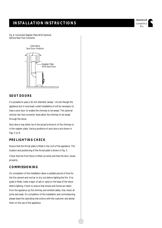# **INSTALLATION INSTRUCTIONS**

*Fig. 8. Horizontal Register Plate With Optional Vertical Rear Flue Connector*



# **SOOT DOORS**

It is possible to pass a 16 inch diameter sweep' s brush though the appliance but in most back outlet installations it will be necessary to have a soot door to enable the chimney to be swept. The optional vertical rear flue connector does allow the chimney to be swept through the stove.

Soot doors may either be in the actual brickwork of the chimney or in the register plate. Various positions of soot doors are shown in Figs. 5 to 8.

# **PRE LIGHTING CHECK**

Ensure that the throat plate is fitted in the roof of the appliance. The location and positioning of the throat plate is shown in Fig. 3.

Check that the front fence is fitted correctly and that the door closes properly.

## **COMMISSIONING**

On completion of the installation allow a suitable period of time for the fire cement and mortar to dry out before lighting the fire. If no grate is fitted, make a layer of ash or sand on the base of the stove before lighting. Check to ensure that smoke and fumes are taken from the appliance up the chimney and emitted safely. Also check all joints and seals. On completion of the installation and commissioning please leave the operating instructions with the customer and advise them on the use of the appliance.

**12**



®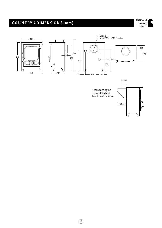# **COUNTRY 4 DIMENSIONS (mm)**



®

charnwoodcountry  $\overline{A}_{\text{MKH}}$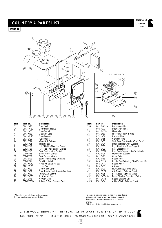# **COUNTRY 4 PARTS LIST**



®

**Issue N**



| $1^*$ | 008/PV21   | Door Seal                          | 23#     | 002/PV01/A  | Door Assembly                            |
|-------|------------|------------------------------------|---------|-------------|------------------------------------------|
| $2^*$ | 008/FW29   | Door Seal Adhesive                 | 24      | 002/PV13    | Door Latch Hook                          |
| $3^*$ | 008/PV55   | Glass Seal Kit                     | 25      | 002/PV12B   | <b>Flue Collar</b>                       |
| 4     | 006/PV19   | Glass (Inc Seal)                   | 26      | 001/EY10    | Firebox (Country 4 MkII)                 |
| 5     | 004/BW23   | <b>Glass Retainer</b>              | 27      | 012/PV09    | <b>Blanking Plate</b>                    |
| 6     | 002/EY23   | <b>Fuel Retainer</b>               | 28      | 010/EY51    | Clamping Plate                           |
| 6a    | 002/EY24   | Wood Ash Retainer                  | 29      | 010/PV33    | Vert. Rear Flue Adapter (Opt'l Extra)    |
|       | 010/PV31   | <b>Throat Plate</b>                | 30      | 010/EY04    | Left Hand Side Grate Support             |
| 8     | 010/EY15L  | L.H. Side Fire Plate (Inc Gasket)  | 31      | 010/EY05    | Right Hand Side Grate Support            |
| 9     | 010/EY15R  | R.H. Side Fire Plate (Inc Gasket)  | 32      | 010/EY09    | Rear Grate Support                       |
| 10    | 010/EY16   | Back Fire Plate (Inc Gasket)       | 32a     | 010/EY06B   | Rear Grate Support (Use With Boiler)     |
| 11    | 011/PV26   | Side Ceramic Gasket                | 33      | 010/EY06    | Front Grate Support                      |
| 12    | 011/PV27   | <b>Back Ceramic Gasket</b>         | 34      | 002/EY03    | <b>Grate Plate</b>                       |
| 13    | 008/EY29   | Set of Fire Plates(3) & Gaskets    | 35      | 010/EY13    | Riddler Rod                              |
| 14    | 012/PV11   | Serial No. Label                   | $36*$   | 008/DY23    | Riddler Rod Retaining Clips (Pack of 10) |
| 15    | 008/PV28/S | Hinge Pin Set (2 Per Set)          | 37      | 002/DY21    | Riddler Knob                             |
| 16    | 008/FW28   | Hinge Post                         | 38      | 004/PV17    | Ashpan                                   |
| 17    | 002/PV03   | Door Catch Lever                   | 40      | 010/EY20    | Multifuel Kit (Optional Extra)           |
| 18    | 008/PV08   | Door Handle (Incl. Screw & Washer) | $41*$   | 010/EW51    | Ash Carrier (Optional Extra)             |
| 19    | 002/PV02   | Primary Air Control                | $42*$   | 010/PV35    | Boiler, Steel (Optional Extra)           |
| 20    | 002/TW13   | Air Control Knob                   | $43*$   | 010/PV35/SS | Boiler, Stainless Steel (Opt'l Extra)    |
| 21    | 004/EY48   | Airwash Slide                      | $44*$   | 004/DY22    | Riddler Blanking Disc                    |
| 22    | 012/BV20/A | Ashpan / Door Opening Tool         | $45*$ # | 010/PV34    | Add-on Shelf (Optional Extra)            |
|       |            |                                    |         |             |                                          |

\* These items are not shown on the drawing.<br># Please specify colour when ordering.

| Item    | Part No.    | Description                             |
|---------|-------------|-----------------------------------------|
| 23#     | 002/PV01/A  | Door Assembly                           |
| 24      | 002/PV13    | Door Latch Hook                         |
| 25      | 002/PV12B   | Flue Collar                             |
| 26      | 001/EY10    | Firebox (Country 4 MkII)                |
| 27      | 012/PV09    | <b>Blanking Plate</b>                   |
| 28      | 010/EY51    | <b>Clamping Plate</b>                   |
| 29      | 010/PV33    | Vert. Rear Flue Adapter (Opt'l Extra)   |
| 30      | 010/EY04    | Left Hand Side Grate Support            |
| 31      | 010/EY05    | Right Hand Side Grate Support           |
| 32      | 010/EY09    | Rear Grate Support                      |
| 32a     | 010/EY06B   | Rear Grate Support (Use With Boiler)    |
| 33      | 010/EY06    | Front Grate Support                     |
| 34      | 002/EY03    | <b>Grate Plate</b>                      |
| 35      | 010/EY13    | Riddler Rod                             |
| $36*$   | 008/DY23    | Riddler Rod Retaining Clips (Pack of 10 |
| 37      | 002/DY21    | Riddler Knob                            |
| 38      | 004/PV17    | Ashpan                                  |
| 40      | 010/EY20    | Multifuel Kit (Optional Extra)          |
| $41*$   | 010/EW51    | Ash Carrier (Optional Extra)            |
| $42*$   | 010/PV35    | Boiler, Steel (Optional Extra)          |
| $43*$   | 010/PV35/SS | Boiler, Stainless Steel (Opt'l Extra)   |
| $44*$   | 004/DY22    | Riddler Blanking Disc                   |
| $45*$ # | 010/PV34    | Add-on Shelf (Optional Extra)           |

To obtain spare parts please contact your local stockist giving Model, Part No. and Description. In case of difficulty contact the manufacturer at the address shown. This drawing is for identification purposes only.

charnwood BISHOPS WAY, NEWPORT, ISLE OF WIGHT PO30 5WS, UNITED KINGDOM T:+44 (0)1983 537799 • F:+44 (0)1983 537788 • SPARES@CHARNWOOD.COM • WWW.CHARNWOOD.COM

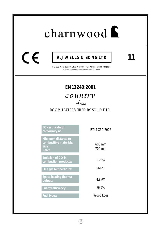# $charnwood$

 $C \in$ 

# **A.J WELLS & SONS LTD**

*A Division of A.J.Wells & Sons Limited Registered in England No. 03809371 Bishops Way, Newport, Isle of Wight PO30 5WS, United Kingdom*

> **EN13240:2001** country

ROOMHEATERS FIRED BY SOLID FUEL

 $A_{\tiny{MKII}}$ 

**EC certificate of conformity no:** 

**Minimum distance to combustible materials: Side: Rear:**

**Emission of CO in combustion products:**

**Flue gas temperature:**

**Space heating thermal output:**

**Energy efficiency:**

**Fuel types:**

*EY44-CPD-2006*

**11**

*600 mm 700 mm*

*0.23%*

*266°C*

*4.8kW*

*76.9%*

*Wood Logs*